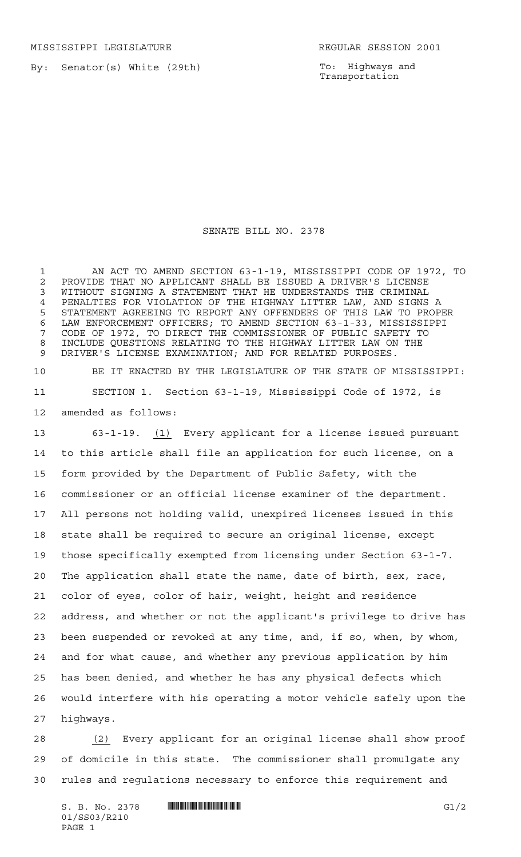MISSISSIPPI LEGISLATURE **REGULAR SESSION 2001** 

By: Senator(s) White (29th)

To: Highways and Transportation

SENATE BILL NO. 2378

 AN ACT TO AMEND SECTION 63-1-19, MISSISSIPPI CODE OF 1972, TO 2 PROVIDE THAT NO APPLICANT SHALL BE ISSUED A DRIVER'S LICENSE<br>3 WITHOUT SIGNING A STATEMENT THAT HE UNDERSTANDS THE CRIMINAL WITHOUT SIGNING A STATEMENT THAT HE UNDERSTANDS THE CRIMINAL PENALTIES FOR VIOLATION OF THE HIGHWAY LITTER LAW, AND SIGNS A STATEMENT AGREEING TO REPORT ANY OFFENDERS OF THIS LAW TO PROPER LAW ENFORCEMENT OFFICERS; TO AMEND SECTION 63-1-33, MISSISSIPPI CODE OF 1972, TO DIRECT THE COMMISSIONER OF PUBLIC SAFETY TO INCLUDE QUESTIONS RELATING TO THE HIGHWAY LITTER LAW ON THE DRIVER'S LICENSE EXAMINATION; AND FOR RELATED PURPOSES.

 BE IT ENACTED BY THE LEGISLATURE OF THE STATE OF MISSISSIPPI: SECTION 1. Section 63-1-19, Mississippi Code of 1972, is amended as follows:

 63-1-19. (1) Every applicant for a license issued pursuant to this article shall file an application for such license, on a form provided by the Department of Public Safety, with the commissioner or an official license examiner of the department. All persons not holding valid, unexpired licenses issued in this state shall be required to secure an original license, except those specifically exempted from licensing under Section 63-1-7. The application shall state the name, date of birth, sex, race, color of eyes, color of hair, weight, height and residence address, and whether or not the applicant's privilege to drive has been suspended or revoked at any time, and, if so, when, by whom, and for what cause, and whether any previous application by him has been denied, and whether he has any physical defects which would interfere with his operating a motor vehicle safely upon the highways.

 (2) Every applicant for an original license shall show proof of domicile in this state. The commissioner shall promulgate any rules and regulations necessary to enforce this requirement and

 $S. B. No. 2378$  **INNIFICALLY INSERIAL INSTEAD OF A SET OF A SET OF A SET OF A SET OF A SET OF A SET OF A SET OF A SET OF A SET OF A SET OF A SET OF A SET OF A SET OF A SET OF A SET OF A SET OF A SET OF A SET OF A SET OF A** 01/SS03/R210 PAGE 1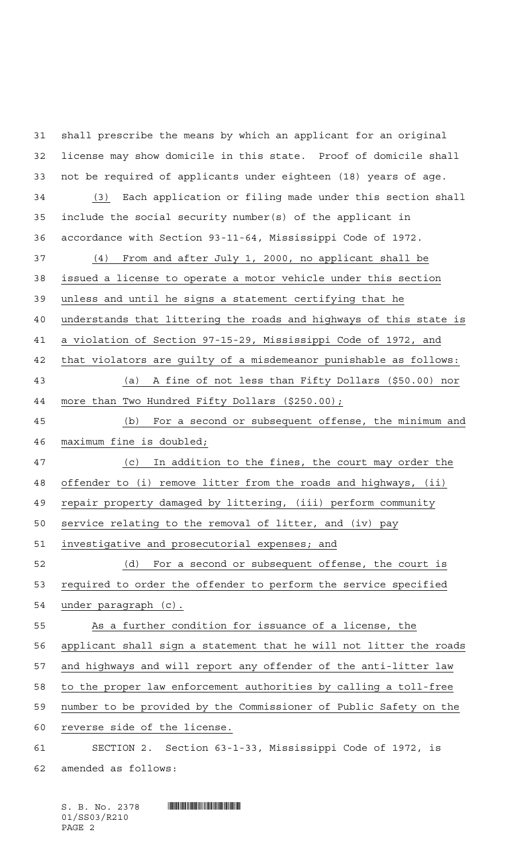shall prescribe the means by which an applicant for an original license may show domicile in this state. Proof of domicile shall not be required of applicants under eighteen (18) years of age. (3) Each application or filing made under this section shall include the social security number(s) of the applicant in accordance with Section 93-11-64, Mississippi Code of 1972. (4) From and after July 1, 2000, no applicant shall be issued a license to operate a motor vehicle under this section unless and until he signs a statement certifying that he understands that littering the roads and highways of this state is a violation of Section 97-15-29, Mississippi Code of 1972, and that violators are guilty of a misdemeanor punishable as follows: (a) A fine of not less than Fifty Dollars (\$50.00) nor more than Two Hundred Fifty Dollars (\$250.00); (b) For a second or subsequent offense, the minimum and maximum fine is doubled; (c) In addition to the fines, the court may order the 48 offender to (i) remove litter from the roads and highways, (ii) repair property damaged by littering, (iii) perform community service relating to the removal of litter, and (iv) pay investigative and prosecutorial expenses; and (d) For a second or subsequent offense, the court is required to order the offender to perform the service specified under paragraph (c). As a further condition for issuance of a license, the applicant shall sign a statement that he will not litter the roads and highways and will report any offender of the anti-litter law to the proper law enforcement authorities by calling a toll-free number to be provided by the Commissioner of Public Safety on the reverse side of the license. SECTION 2. Section 63-1-33, Mississippi Code of 1972, is amended as follows:

 $S. B. No. 2378$  . Soc. 2378 01/SS03/R210 PAGE 2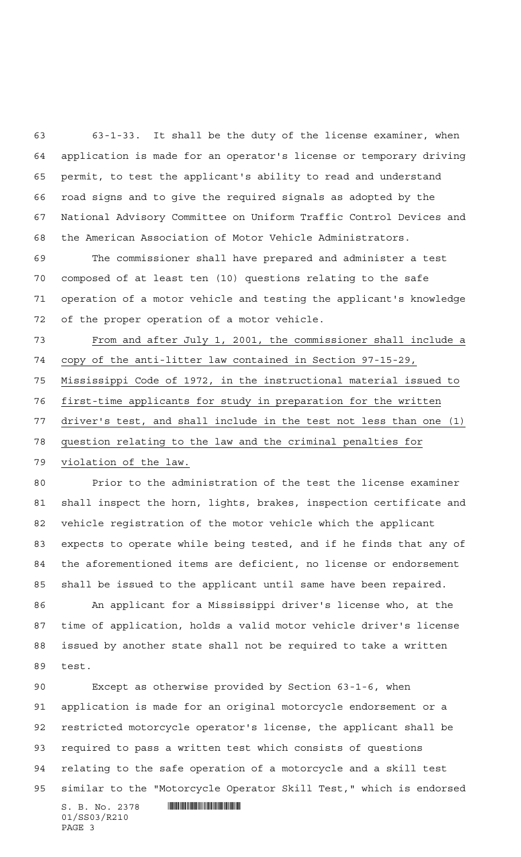63-1-33. It shall be the duty of the license examiner, when application is made for an operator's license or temporary driving permit, to test the applicant's ability to read and understand road signs and to give the required signals as adopted by the National Advisory Committee on Uniform Traffic Control Devices and the American Association of Motor Vehicle Administrators.

 The commissioner shall have prepared and administer a test composed of at least ten (10) questions relating to the safe operation of a motor vehicle and testing the applicant's knowledge of the proper operation of a motor vehicle.

 From and after July 1, 2001, the commissioner shall include a copy of the anti-litter law contained in Section 97-15-29, Mississippi Code of 1972, in the instructional material issued to first-time applicants for study in preparation for the written driver's test, and shall include in the test not less than one (1) question relating to the law and the criminal penalties for violation of the law.

 Prior to the administration of the test the license examiner shall inspect the horn, lights, brakes, inspection certificate and vehicle registration of the motor vehicle which the applicant expects to operate while being tested, and if he finds that any of the aforementioned items are deficient, no license or endorsement shall be issued to the applicant until same have been repaired. An applicant for a Mississippi driver's license who, at the time of application, holds a valid motor vehicle driver's license issued by another state shall not be required to take a written test.

 Except as otherwise provided by Section 63-1-6, when application is made for an original motorcycle endorsement or a restricted motorcycle operator's license, the applicant shall be required to pass a written test which consists of questions relating to the safe operation of a motorcycle and a skill test similar to the "Motorcycle Operator Skill Test," which is endorsed

 $S. B. No. 2378$  . The set of the set of  $\sim$   $\sim$  500  $\mu$   $\sim$  500  $\mu$   $\sim$  500  $\mu$   $\sim$  500  $\mu$   $\sim$  500  $\mu$   $\sim$  500  $\mu$   $\sim$  500  $\mu$   $\sim$  500  $\mu$   $\sim$  500  $\mu$   $\sim$  500  $\mu$   $\sim$  500  $\mu$   $\sim$  500  $\mu$   $\sim$  500 01/SS03/R210 PAGE 3